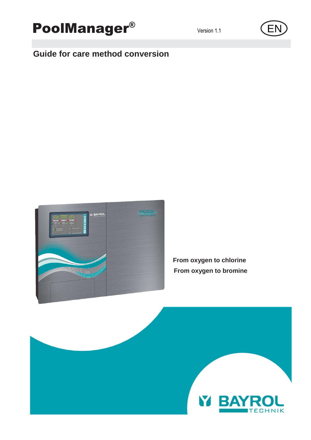

# **Guide for care method conversion**

**From oxygen to chlorine From oxygen to bromine**





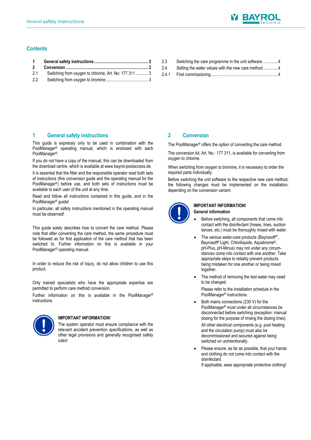

# **Contents**

| $\mathbf{1}$   |                                                       |
|----------------|-------------------------------------------------------|
| $\overline{2}$ |                                                       |
| 2.1            | Switching from oxygen to chlorine, Art. No: 177 311 3 |
| $2.2^{\circ}$  |                                                       |

| 2.3   | Switching the care programme in the unit software 4 |
|-------|-----------------------------------------------------|
| 2.4   | Setting the water values with the new care method 4 |
| 2.4.1 |                                                     |

#### <span id="page-1-0"></span>**1 General safety instructions**

This guide is expressly only to be used in combination with the PoolManager® operating manual, which is enclosed with each PoolManager®.

If you do not have a copy of the manual, this can be downloaded from the download centre, which is available at www.bayrol-poolaccess.de.

It is essential that the fitter and the responsible operator read both sets of instructions (this conversion guide and the operating manual for the PoolManager®) before use, and both sets of instructions must be available to each user of the unit at any time.

Read and follow all instructions contained in this guide, and in the PoolManager® guide!

In particular, all safety instructions mentioned in the operating manual must be observed!

This guide solely describes how to convert the care method. Please note that after converting the care method, the same procedure must be followed as for first application of the care method that has been switched to. Further information on this is available in your PoolManager® operating manual.

In order to reduce the risk of injury, do not allow children to use this product.

Only trained specialists who have the appropriate expertise are permitted to perform care method conversion.

Further information on this is available in the PoolManager® instructions.



#### **IMPORTANT INFORMATION!**

The system operator must ensure compliance with the relevant accident prevention specifications, as well as other legal provisions and generally recognised safety rules!

## <span id="page-1-1"></span>**2 Conversion**

The PoolManager® offers the option of converting the care method.

The conversion kit, Art. No.: 177 311, is available for converting from oxygen to chlorine.

When switching from oxygen to bromine, it is necessary to order the required parts individually.

Before switching the unit software to the respective new care method, the following changes must be implemented on the installation, depending on the conversion variant:



#### **IMPORTANT INFORMATION! General information**

- Before switching, all components that come into contact with the disinfectant (hoses, lines, suction lances, etc.) must be thoroughly rinsed with water.
- The various water-care products (Bayrosoft<sup>®\*</sup>, Bayrosoft® Light, Chloriliquide, Aquabrome®, pH-Plus, pH-Minus) may not under any circumstances come into contact with one another. Take appropriate steps to reliably prevent products being mistaken for one another or being mixed together.
- The method of removing the test water may need to be changed. Please refer to the installation schedule in the

PoolManager® instructions.

 Both mains connections (230 V) for the PoolManager® must under all circumstances be disconnected before switching (exception: manual dosing for the purpose of rinsing the dosing lines).

All other electrical components (e.g. pool heating and the circulation pump) must also be decommissioned and secured against being switched on unintentionally.

 Please ensure, as far as possible, that your hands and clothing do not come into contact with the disinfectant.

If applicable, wear appropriate protective clothing!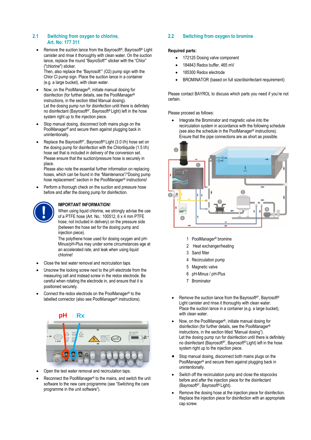#### <span id="page-2-0"></span>**2.1 Switching from oxygen to chlorine, Art. No: 177 311**

 Remove the suction lance from the Bayrosoft®, Bayrosoft® Light canister and rinse it thoroughly with clean water. On the suction lance, replace the round "BayroSoft\*" sticker with the "Chlor" ("chlorine") sticker. Then, also replace the "Bayrosoft\* " (O2) pump sign with the

Chlor Cl pump sign. Place the suction lance in a container (e.g. a large bucket), with clean water. Now, on the PoolManager®, initiate manual dosing for

- disinfection (for further details, see the PoolManager® instructions, in the section titled Manual dosing). Let the dosing pump run for disinfection until there is definitely no disinfectant (Bayrosoft®\*, Bayrosoft® Light) left in the hose system right up to the injection piece.
- Stop manual dosing, disconnect both mains plugs on the PoolManager® and secure them against plugging back in unintentionally.
- Replace the Bayrosoft®\*, Bayrosoft® Light (3.0 l/h) hose set on the dosing pump for disinfection with the Chloriliquide (1.5 l/h) hose set that is included in delivery of the conversion set. Please ensure that the suction/pressure hose is securely in place.

Please also note the essential further information on replacing hoses, which can be found in the "Maintenance"/"Dosing pump hose replacement" section in the PoolManager® instructions!

 Perform a thorough check on the suction and pressure hose before and after the dosing pump for disinfection.



# **IMPORTANT INFORMATION!**

When using liquid chlorine, we strongly advise the use of a PTFE hose (Art. No.: 100512, 6 x 4 mm PTFE hose; not included in delivery) on the pressure side (between the hose set for the dosing pump and injection piece).

The polythene hose used for dosing oxygen and pH-Minus/pH-Plus may under some circumstances age at an accelerated rate, and leak when using liquid chlorine!

- Close the test water removal and recirculation taps.
- Unscrew the locking screw next to the pH electrode from the measuring cell and instead screw in the redox electrode. Be careful when rotating the electrode in, and ensure that it is positioned securely.
- Connect the redox electrode on the PoolManager® to the labelled connector (also see PoolManager® instructions).



- Open the test water removal and recirculation taps.
- <span id="page-2-1"></span> Reconnect the PoolManager® to the mains, and switch the unit software to the new care programme (see "Switching the care programme in the unit software").

# **2.2 Switching from oxygen to bromine**

#### **Required parts:**

- 172125 Dosing valve component
- 184843 Redox buffer, 465 mV
- 185300 Redox electrode
- BROMINATOR (based on full size/disinfectant requirement)

Please contact BAYROL to discuss which parts you need if you're not certain.

Please proceed as follows:

 Integrate the Brominator and magnetic valve into the recirculation system in accordance with the following schedule (see also the schedule in the PoolManager® instructions). Ensure that the pipe connections are as short as possible.



- 1 PoolManager® bromine
- 2 Heat exchanger/heating
- 3 Sand filter
- 4 Recirculation pump
- 5 Magnetic valve
- 6 pH-Minus / pH-Plus
- 7 Brominator
- Remove the suction lance from the Bayrosoft®\*, Bayrosoft® Light canister and rinse it thoroughly with clean water. Place the suction lance in a container (e.g. a large bucket), with clean water.
- Now, on the PoolManager®, initiate manual dosing for disinfection (for further details, see the PoolManager® instructions, in the section titled "Manual dosing"). Let the dosing pump run for disinfection until there is definitely no disinfectant (Bayrosoft<sup>®\*</sup>, Bayrosoft® Light) left in the hose system right up to the injection piece.
- Stop manual dosing, disconnect both mains plugs on the PoolManager® and secure them against plugging back in unintentionally.
- Switch off the recirculation pump and close the stopcocks before and after the injection piece for the disinfectant (Bayrosoft®\*, Bayrosoft® Light).
- Remove the dosing hose at the injection piece for disinfection. Replace the injection piece for disinfection with an appropriate cap screw.